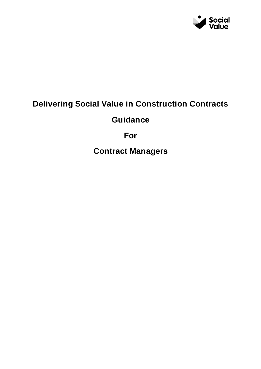

# **Delivering Social Value in Construction Contracts**

**Guidance**

**For**

**Contract Managers**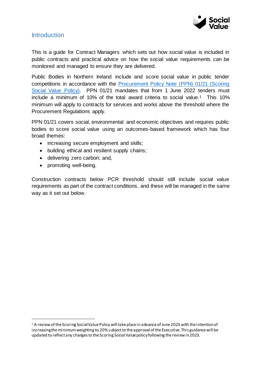

### **Introduction**

This is a guide for Contract Managers which sets out how social value is included in public contracts and practical advice on how the social value requirements can be monitored and managed to ensure they are delivered.

Public Bodies in Northern Ireland include and score social value in public tender competitions in accordance with the [Procurement Policy Note \(PPN\) 01/21 \(Scoring](https://www.finance-ni.gov.uk/publications/ppn-0121-scoring-social-value)  [Social Value Policy\).](https://www.finance-ni.gov.uk/publications/ppn-0121-scoring-social-value) PPN 01/21 mandates that from 1 June 2022 tenders must include a minimum of 10% of the total award criteria to social value.1 This 10% minimum will apply to contracts for services and works above the threshold where the Procurement Regulations apply.

PPN 01/21 covers social, environmental and economic objectives and requires public bodies to score social value using an outcomes-based framework which has four broad themes:

- increasing secure employment and skills;
- building ethical and resilient supply chains;
- delivering zero carbon; and,
- promoting well-being.

 $\overline{a}$ 

Construction contracts below PCR threshold should still include social value requirements as part of the contract conditions, and these will be managed in the same way as it set out below.

<sup>1</sup> A review of the Scoring Social Value Policy will take place in advance of June 2023 with the intention of increasing the minimum weighting to 20% subject to the approval of the Executive. This guidance will be updated to reflect any changes to the Scoring Social Value policy following the review in 2023.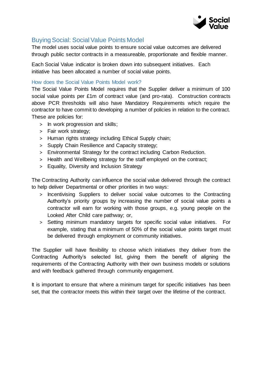

# Buying Social: Social Value Points Model

The model uses social value points to ensure social value outcomes are delivered through public sector contracts in a measureable, proportionate and flexible manner.

Each Social Value indicator is broken down into subsequent initiatives. Each initiative has been allocated a number of social value points.

#### How does the Social Value Points Model work?

The Social Value Points Model requires that the Supplier deliver a minimum of 100 social value points per £1m of contract value (and pro-rata). Construction contracts above PCR thresholds will also have Mandatory Requirements which require the contractor to have commit to developing a number of policies in relation to the contract. These are policies for:

- > In work progression and skills;
- > Fair work strategy;
- > Human rights strategy including Ethical Supply chain;
- > Supply Chain Resilience and Capacity strategy;
- > Environmental Strategy for the contract including Carbon Reduction.
- > Health and Wellbeing strategy for the staff employed on the contract;
- > Equality, Diversity and Inclusion Strategy

The Contracting Authority can influence the social value delivered through the contract to help deliver Departmental or other priorities in two ways:

- > Incentivising Suppliers to deliver social value outcomes to the Contracting Authority's priority groups by increasing the number of social value points a contractor will earn for working with those groups, e.g. young people on the Looked After Child care pathway; or,
- > Setting minimum mandatory targets for specific social value initiatives. For example, stating that a minimum of 50% of the social value points target must be delivered through employment or community initiatives.

The Supplier will have flexibility to choose which initiatives they deliver from the Contracting Authority's selected list, giving them the benefit of aligning the requirements of the Contracting Authority with their own business models or solutions and with feedback gathered through community engagement.

It is important to ensure that where a minimum target for specific initiatives has been set, that the contractor meets this within their target over the lifetime of the contract.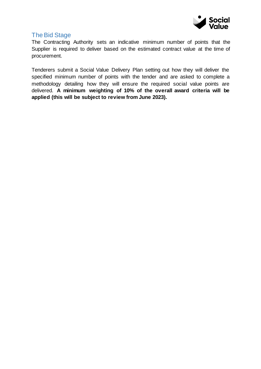

# The Bid Stage

The Contracting Authority sets an indicative minimum number of points that the Supplier is required to deliver based on the estimated contract value at the time of procurement.

Tenderers submit a Social Value Delivery Plan setting out how they will deliver the specified minimum number of points with the tender and are asked to complete a methodology detailing how they will ensure the required social value points are delivered. **A minimum weighting of 10% of the overall award criteria will be applied (this will be subject to review from June 2023).**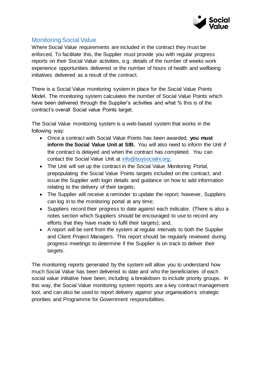

# Monitoring Social Value

Where Social Value requirements are included in the contract they must be enforced. To facilitate this, the Supplier must provide you with regular progress reports on their Social Value activities, e.g. details of the number of weeks work experience opportunities delivered or the number of hours of health and wellbeing initiatives delivered as a result of the contract.

There is a Social Value monitoring system in place for the Social Value Points Model. The monitoring system calculates the number of Social Value Points which have been delivered through the Supplier's activities and what % this is of the contract's overall Social value Points target.

The Social Value monitoring system is a web-based system that works in the following way:

- Once a contract with Social Value Points has been awarded, **you must inform the Social Value Unit at SIB.** You will also need to inform the Unit if the contract is delayed and when the contract has completed. You can contact the Social Value Unit at [info@buysocialni.org;](mailto:info@buysocialni.org)
- The Unit will set up the contract in the Social Value Monitoring Portal, prepopulating the Social Value Points targets included on the contract, and issue the Supplier with login details and guidance on how to add information relating to the delivery of their targets;
- The Supplier will receive a reminder to update the report; however, Suppliers can log in to the monitoring portal at any time;
- Suppliers record their progress to date against each indicator. (There is also a notes section which Suppliers should be encouraged to use to record any efforts that they have made to fulfil their targets); and,
- A report will be sent from the system at regular intervals to both the Supplier and Client Project Managers. This report should be regularly reviewed during progress meetings to determine if the Supplier is on track to deliver their targets.

The monitoring reports generated by the system will allow you to understand how much Social Value has been delivered to date and who the beneficiaries of each social value initiative have been, including a breakdown to include priority groups. In this way, the Social Value monitoring system reports are a key contract management tool, and can also be used to report delivery against your organisation's strategic priorities and Programme for Government responsibilities.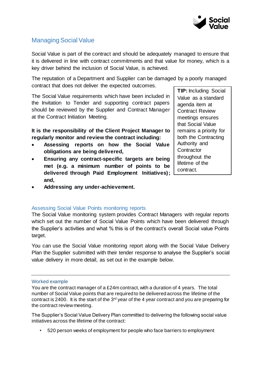

# Managing Social Value

Social Value is part of the contract and should be adequately managed to ensure that it is delivered in line with contract commitments and that value for money, which is a key driver behind the inclusion of Social Value, is achieved.

The reputation of a Department and Supplier can be damaged by a poorly managed contract that does not deliver the expected outcomes.

The Social Value requirements which have been included in the Invitation to Tender and supporting contract papers should be reviewed by the Supplier and Contract Manager at the Contract Initiation Meeting.

**It is the responsibility of the Client Project Manager to regularly monitor and review the contract including:**

- **Assessing reports on how the Social Value obligations are being delivered,**
- **Ensuring any contract-specific targets are being met (e.g. a minimum number of points to be delivered through Paid Employment Initiatives); and,**
- **Addressing any under-achievement.**

#### Assessing Social Value Points monitoring reports

The Social Value monitoring system provides Contract Managers with regular reports which set out the number of Social Value Points which have been delivered through the Supplier's activities and what % this is of the contract's overall Social value Points target.

You can use the Social Value monitoring report along with the Social Value Delivery Plan the Supplier submitted with their tender response to analyse the Supplier's social value delivery in more detail, as set out in the example below.

Worked example

You are the contract manager of a £24m contract, with a duration of 4 years. The total number of Social Value points that are required to be delivered across the lifetime of the contract is 2400. It is the start of the  $3<sup>rd</sup>$  year of the 4 year contract and you are preparing for the contract review meeting.

The Supplier's Social Value Delivery Plan committed to delivering the following social value initiatives across the lifetime of the contract:

• 520 person weeks of employment for people who face barriers to employment

**TIP:** Including Social Value as a standard agenda item at Contract Review meetings ensures that Social Value remains a priority for both the Contracting Authority and **Contractor** throughout the lifetime of the contract.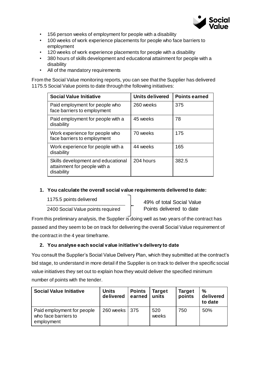

- 156 person weeks of employment for people with a disability
- 100 weeks of work experience placements for people who face barriers to employment
- 120 weeks of work experience placements for people with a disability
- 380 hours of skills development and educational attainment for people with a disability
- All of the mandatory requirements

From the Social Value monitoring reports, you can see that the Supplier has delivered 1175.5 Social Value points to date through the following initiatives:

| <b>Social Value Initiative</b>                                                   | <b>Units delivered</b> | <b>Points earned</b> |
|----------------------------------------------------------------------------------|------------------------|----------------------|
| Paid employment for people who<br>face barriers to employment                    | 260 weeks              | 375                  |
| Paid employment for people with a<br>disability                                  | 45 weeks               | 78                   |
| Work experience for people who<br>face barriers to employment                    | 70 weeks               | 175                  |
| Work experience for people with a<br>disability                                  | 44 weeks               | 165                  |
| Skills development and educational<br>attainment for people with a<br>disability | 204 hours              | 382.5                |

#### **1. You calculate the overall social value requirements delivered to date:**

1175.5 points delivered

2400 Social Value points required

49% of total Social Value Points delivered to date

From this preliminary analysis, the Supplier is doing well as two years of the contract has passed and they seem to be on track for delivering the overall Social Value requirement of the contract in the 4 year timeframe.

#### **2. You analyse each social value initiative's delivery to date**

You consult the Supplier's Social Value Delivery Plan, which they submitted at the contract's bid stage, to understand in more detail if the Supplier is on track to deliver the specific social value initiatives they set out to explain how they would deliver the specified minimum number of points with the tender.

| <b>Social Value Initiative</b>                                   | <b>Units</b><br>delivered | <b>Points</b><br>earned | <b>Target</b><br>units | <b>Target</b><br>points | %<br>delivered<br>to date |
|------------------------------------------------------------------|---------------------------|-------------------------|------------------------|-------------------------|---------------------------|
| Paid employment for people<br>who face barriers to<br>employment | 260 weeks   375           |                         | 520<br>weeks           | 750                     | 50%                       |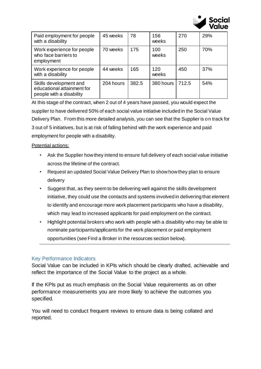

| Paid employment for people<br>with a disability                                  | 45 weeks  | 78    | 156<br>weeks | 270   | 29% |
|----------------------------------------------------------------------------------|-----------|-------|--------------|-------|-----|
| Work experience for people<br>who face barriers to<br>employment                 | 70 weeks  | 175   | 100<br>weeks | 250   | 70% |
| Work experience for people<br>with a disability                                  | 44 weeks  | 165   | 120<br>weeks | 450   | 37% |
| Skills development and<br>educational attainment for<br>people with a disability | 204 hours | 382.5 | 380 hours    | 712.5 | 54% |

At this stage of the contract, when 2 out of 4 years have passed, you would expect the supplier to have delivered 50% of each social value initiative included in the Social Value Delivery Plan. From this more detailed analysis, you can see that the Supplier is on track for 3 out of 5 initiatives, but is at risk of falling behind with the work experience and paid employment for people with a disability.

#### Potential actions:

- Ask the Supplier how they intend to ensure full delivery of each social value initiative across the lifetime of the contract.
- Request an updated Social Value Delivery Plan to show how they plan to ensure delivery
- Suggest that, as they seem to be delivering well against the skills development initiative, they could use the contacts and systems involved in delivering that element to identify and encourage more work placement participants who have a disability, which may lead to increased applicants for paid employment on the contract.
- Highlight potential brokers who work with people with a disability who may be able to nominate participants/applicants for the work placement or paid employment opportunities (see Find a Broker in the resources section below).

#### Key Performance Indicators

Social Value can be included in KPIs which should be clearly drafted, achievable and reflect the importance of the Social Value to the project as a whole.

If the KPIs put as much emphasis on the Social Value requirements as on other performance measurements you are more likely to achieve the outcomes you specified.

You will need to conduct frequent reviews to ensure data is being collated and reported.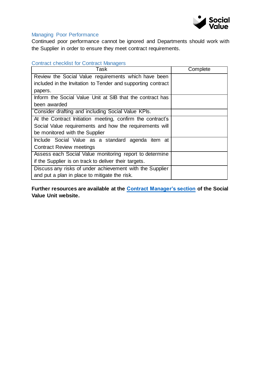

#### Managing Poor Performance

Continued poor performance cannot be ignored and Departments should work with the Supplier in order to ensure they meet contract requirements.

#### Contract checklist for Contract Managers

| Task                                                         | Complete |
|--------------------------------------------------------------|----------|
| Review the Social Value requirements which have been         |          |
| included in the Invitation to Tender and supporting contract |          |
| papers.                                                      |          |
| Inform the Social Value Unit at SIB that the contract has    |          |
| been awarded                                                 |          |
| Consider drafting and including Social Value KPIs.           |          |
| At the Contract Initiation meeting, confirm the contract's   |          |
| Social Value requirements and how the requirements will      |          |
| be monitored with the Supplier                               |          |
| Include Social Value as a standard agenda item at            |          |
| <b>Contract Review meetings</b>                              |          |
| Assess each Social Value monitoring report to determine      |          |
| if the Supplier is on track to deliver their targets.        |          |
| Discuss any risks of under achievement with the Supplier     |          |
| and put a plan in place to mitigate the risk.                |          |

**Further resources are available at the [Contract Manager's section](https://buysocialni.org/contract-managers) of the Social Value Unit website.**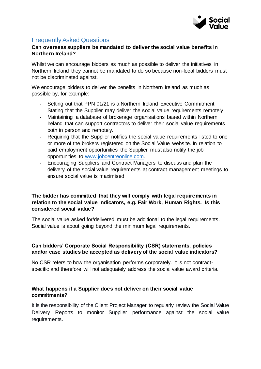

# Frequently Asked Questions

#### **Can overseas suppliers be mandated to deliver the social value benefits in Northern Ireland?**

Whilst we can encourage bidders as much as possible to deliver the initiatives in Northern Ireland they cannot be mandated to do so because non-local bidders must not be discriminated against.

We encourage bidders to deliver the benefits in Northern Ireland as much as possible by, for example:

- Setting out that PPN 01/21 is a Northern Ireland Executive Commitment
- Stating that the Supplier may deliver the social value requirements remotely
- Maintaining a database of brokerage organisations based within Northern Ireland that can support contractors to deliver their social value requirements both in person and remotely.
- Requiring that the Supplier notifies the social value requirements listed to one or more of the brokers registered on the Social Value website. In relation to paid employment opportunities the Supplier must also notify the job opportunities to [www.jobcentreonline.com.](http://www.jobcentreonline.com/)
- Encouraging Suppliers and Contract Managers to discuss and plan the delivery of the social value requirements at contract management meetings to ensure social value is maximised

#### **The bidder has committed that they will comply with legal requirements in relation to the social value indicators, e.g. Fair Work, Human Rights. Is this considered social value?**

The social value asked for/delivered must be additional to the legal requirements. Social value is about going beyond the minimum legal requirements.

#### **Can bidders' Corporate Social Responsibility (CSR) statements, policies and/or case studies be accepted as delivery of the social value indicators?**

No CSR refers to how the organisation performs corporately. It is not contractspecific and therefore will not adequately address the social value award criteria.

#### **What happens if a Supplier does not deliver on their social value commitments?**

It is the responsibility of the Client Project Manager to regularly review the Social Value Delivery Reports to monitor Supplier performance against the social value requirements.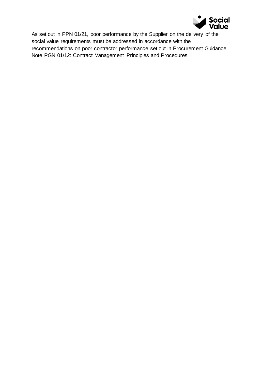

As set out in PPN 01/21, poor performance by the Supplier on the delivery of the social value requirements must be addressed in accordance with the recommendations on poor contractor performance set out in Procurement Guidance Note PGN 01/12: Contract Management Principles and Procedures